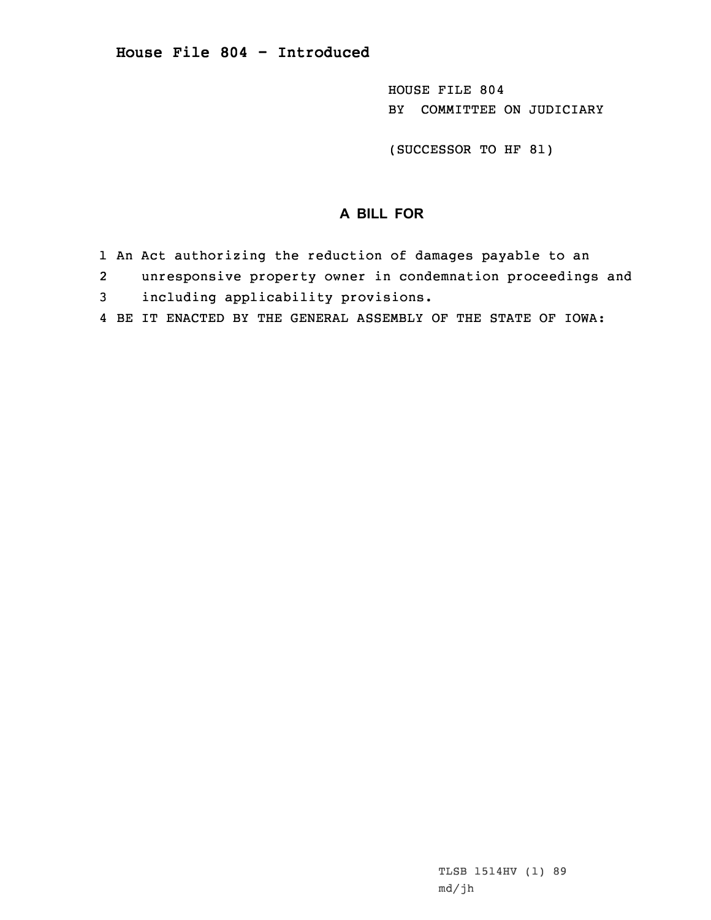HOUSE FILE 804 BY COMMITTEE ON JUDICIARY

(SUCCESSOR TO HF 81)

## **A BILL FOR**

- 1 An Act authorizing the reduction of damages payable to an
- 2unresponsive property owner in condemnation proceedings and
- 3 including applicability provisions.
- 4 BE IT ENACTED BY THE GENERAL ASSEMBLY OF THE STATE OF IOWA: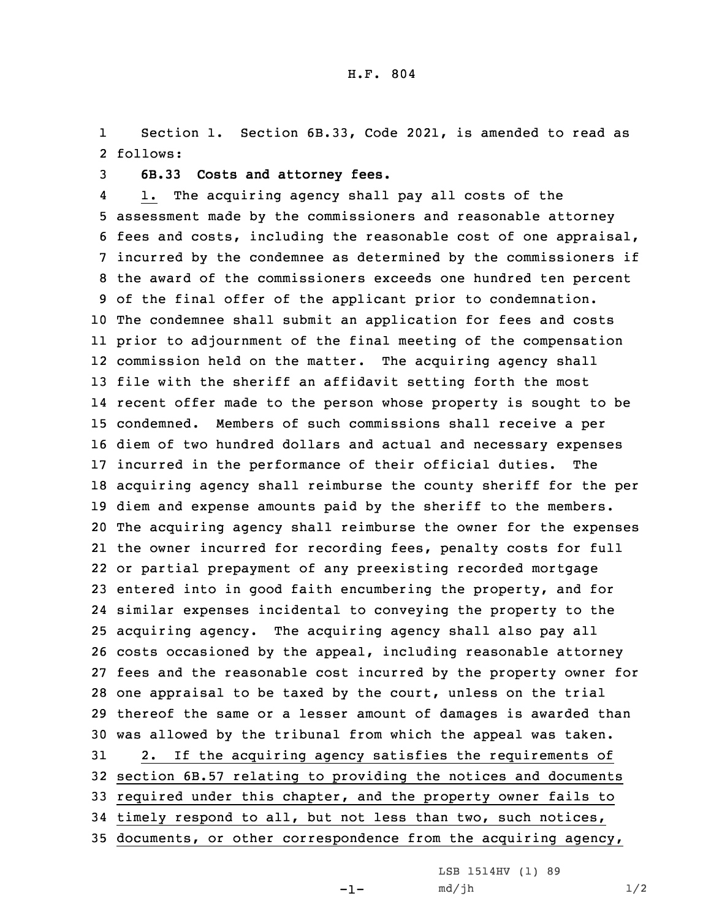1 Section 1. Section 6B.33, Code 2021, is amended to read as 2 follows:

3 **6B.33 Costs and attorney fees.**

4 1. The acquiring agency shall pay all costs of the assessment made by the commissioners and reasonable attorney fees and costs, including the reasonable cost of one appraisal, incurred by the condemnee as determined by the commissioners if the award of the commissioners exceeds one hundred ten percent of the final offer of the applicant prior to condemnation. The condemnee shall submit an application for fees and costs prior to adjournment of the final meeting of the compensation commission held on the matter. The acquiring agency shall file with the sheriff an affidavit setting forth the most recent offer made to the person whose property is sought to be condemned. Members of such commissions shall receive <sup>a</sup> per diem of two hundred dollars and actual and necessary expenses incurred in the performance of their official duties. The acquiring agency shall reimburse the county sheriff for the per diem and expense amounts paid by the sheriff to the members. The acquiring agency shall reimburse the owner for the expenses the owner incurred for recording fees, penalty costs for full or partial prepayment of any preexisting recorded mortgage entered into in good faith encumbering the property, and for similar expenses incidental to conveying the property to the acquiring agency. The acquiring agency shall also pay all costs occasioned by the appeal, including reasonable attorney fees and the reasonable cost incurred by the property owner for one appraisal to be taxed by the court, unless on the trial thereof the same or <sup>a</sup> lesser amount of damages is awarded than was allowed by the tribunal from which the appeal was taken. 2. If the acquiring agency satisfies the requirements of section 6B.57 relating to providing the notices and documents required under this chapter, and the property owner fails to timely respond to all, but not less than two, such notices, documents, or other correspondence from the acquiring agency,

> LSB 1514HV (1) 89  $md/jh$   $1/2$

-1-